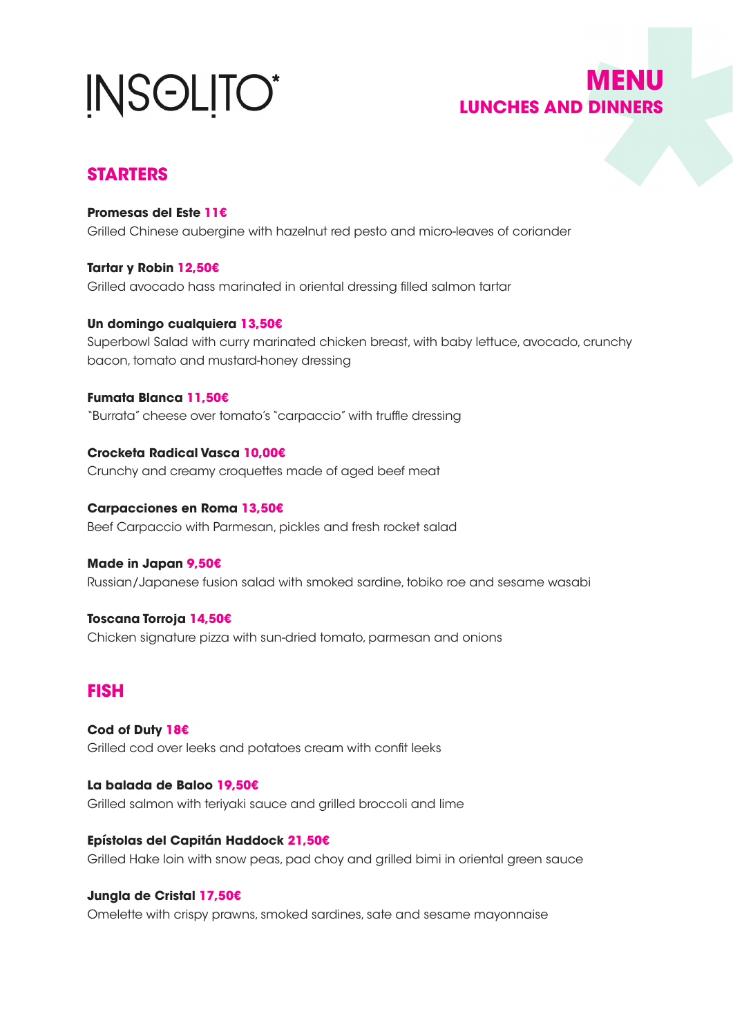# **INSOLITO\***

## **MENU LUNCHES AND DINNERS**

## **STARTERS**

**Promesas del Este 11€** Grilled Chinese aubergine with hazelnut red pesto and micro-leaves of coriander

**Tartar y Robin 12,50€** Grilled avocado hass marinated in oriental dressing filled salmon tartar

**Un domingo cualquiera 13,50€** Superbowl Salad with curry marinated chicken breast, with baby lettuce, avocado, crunchy bacon, tomato and mustard-honey dressing

**Fumata Blanca 11,50€** "Burrata" cheese over tomato's "carpaccio" with truffle dressing

**Crocketa Radical Vasca 10,00€** Crunchy and creamy croquettes made of aged beef meat

**Carpacciones en Roma 13,50€** Beef Carpaccio with Parmesan, pickles and fresh rocket salad

**Made in Japan 9,50€** Russian/Japanese fusion salad with smoked sardine, tobiko roe and sesame wasabi

**Toscana Torroja 14,50€** Chicken signature pizza with sun-dried tomato, parmesan and onions

## **FISH**

**Cod of Duty 18€** Grilled cod over leeks and potatoes cream with confit leeks

**La balada de Baloo 19,50€** Grilled salmon with teriyaki sauce and grilled broccoli and lime

**Epístolas del Capitán Haddock 21,50€** Grilled Hake loin with snow peas, pad choy and grilled bimi in oriental green sauce

**Jungla de Cristal 17,50€**

Omelette with crispy prawns, smoked sardines, sate and sesame mayonnaise